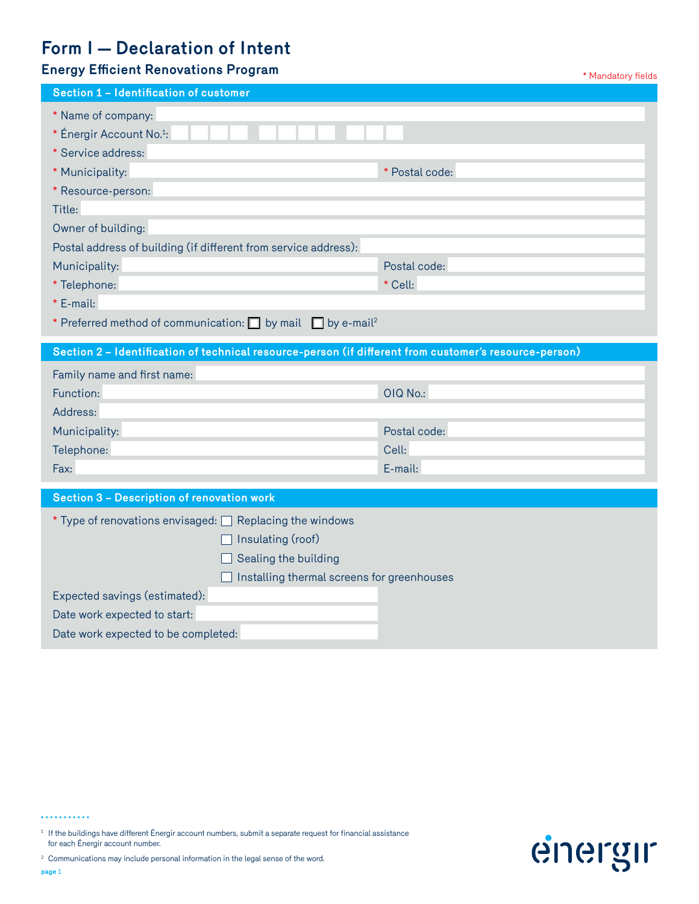# **Form I — Declaration of Intent**

## **Energy Efficient Renovations Program and Security Contract Contract Authority Contract Authority Fields**

| Section 1 - Identification of customer                                                                 |                |
|--------------------------------------------------------------------------------------------------------|----------------|
| * Name of company:<br>* Énergir Account No. <sup>1</sup> :<br>* Service address:                       |                |
| * Municipality:                                                                                        | * Postal code: |
| * Resource-person:                                                                                     |                |
| Title:                                                                                                 |                |
| Owner of building:                                                                                     |                |
| Postal address of building (if different from service address):                                        |                |
| Municipality:                                                                                          | Postal code:   |
| * Telephone:                                                                                           | * Cell:        |
| $*$ E-mail:                                                                                            |                |
| * Preferred method of communication: $\Box$ by mail $\Box$ by e-mail <sup>2</sup>                      |                |
| Section 2 - Identification of technical resource-person (if different from customer's resource-person) |                |
| Family name and first name:                                                                            |                |
| Function:                                                                                              | OIQ No.:       |
| Address:                                                                                               |                |
| Municipality:                                                                                          | Postal code:   |
| Telephone:                                                                                             | Cell:          |
| Fax:                                                                                                   | E-mail:        |
| Section 3 - Description of renovation work                                                             |                |
| $*$ Type of renovations envisaged: $\Box$ Replacing the windows                                        |                |
| Insulating (roof)                                                                                      |                |
| Sealing the building                                                                                   |                |
| Installing thermal screens for greenhouses                                                             |                |
| Expected savings (estimated):                                                                          |                |
| Date work expected to start:                                                                           |                |
| Date work expected to be completed:                                                                    |                |

...........

 $^{\rm 1}$  If the buildings have different Énergir account numbers, submit a separate request for financial assistance for each Énergir account number.



<sup>2</sup> Communications may include personal information in the legal sense of the word. **page** 1